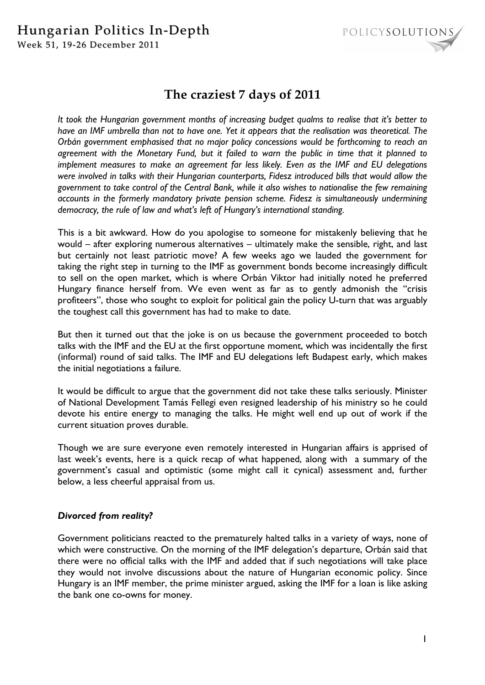# Hungarian Politics In-Depth



Week 51, 19-26 December 2011

# **The craziest 7 days of 2011**

*It took the Hungarian government months of increasing budget qualms to realise that it's better to have an IMF umbrella than not to have one. Yet it appears that the realisation was theoretical. The Orbán government emphasised that no major policy concessions would be forthcoming to reach an agreement with the Monetary Fund, but it failed to warn the public in time that it planned to implement measures to make an agreement far less likely. Even as the IMF and EU delegations were involved in talks with their Hungarian counterparts, Fidesz introduced bills that would allow the government to take control of the Central Bank, while it also wishes to nationalise the few remaining accounts in the formerly mandatory private pension scheme. Fidesz is simultaneously undermining democracy, the rule of law and what's left of Hungary's international standing.* 

This is a bit awkward. How do you apologise to someone for mistakenly believing that he would – after exploring numerous alternatives – ultimately make the sensible, right, and last but certainly not least patriotic move? A few weeks ago we lauded the government for taking the right step in turning to the IMF as government bonds become increasingly difficult to sell on the open market, which is where Orbán Viktor had initially noted he preferred Hungary finance herself from. We even went as far as to gently admonish the "crisis profiteers", those who sought to exploit for political gain the policy U-turn that was arguably the toughest call this government has had to make to date.

But then it turned out that the joke is on us because the government proceeded to botch talks with the IMF and the EU at the first opportune moment, which was incidentally the first (informal) round of said talks. The IMF and EU delegations left Budapest early, which makes the initial negotiations a failure.

It would be difficult to argue that the government did not take these talks seriously. Minister of National Development Tamás Fellegi even resigned leadership of his ministry so he could devote his entire energy to managing the talks. He might well end up out of work if the current situation proves durable.

Though we are sure everyone even remotely interested in Hungarian affairs is apprised of last week's events, here is a quick recap of what happened, along with a summary of the government's casual and optimistic (some might call it cynical) assessment and, further below, a less cheerful appraisal from us.

## *Divorced from reality?*

Government politicians reacted to the prematurely halted talks in a variety of ways, none of which were constructive. On the morning of the IMF delegation's departure, Orbán said that there were no official talks with the IMF and added that if such negotiations will take place they would not involve discussions about the nature of Hungarian economic policy. Since Hungary is an IMF member, the prime minister argued, asking the IMF for a loan is like asking the bank one co-owns for money.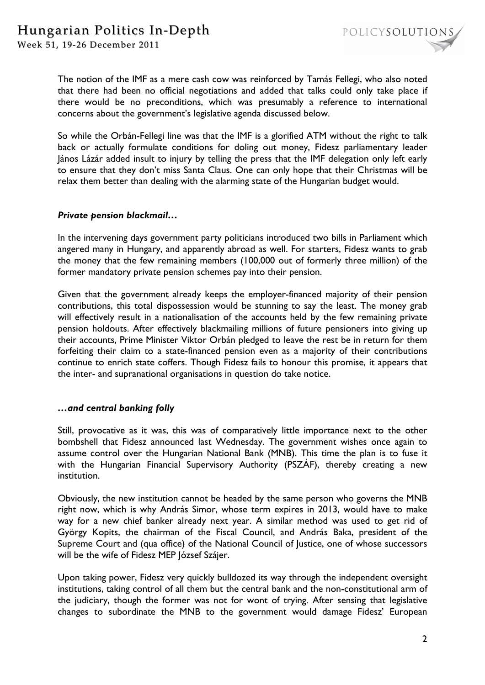

Week 51, 19-26 December 2011

The notion of the IMF as a mere cash cow was reinforced by Tamás Fellegi, who also noted that there had been no official negotiations and added that talks could only take place if there would be no preconditions, which was presumably a reference to international concerns about the government's legislative agenda discussed below.

So while the Orbán-Fellegi line was that the IMF is a glorified ATM without the right to talk back or actually formulate conditions for doling out money, Fidesz parliamentary leader János Lázár added insult to injury by telling the press that the IMF delegation only left early to ensure that they don't miss Santa Claus. One can only hope that their Christmas will be relax them better than dealing with the alarming state of the Hungarian budget would.

### *Private pension blackmail…*

In the intervening days government party politicians introduced two bills in Parliament which angered many in Hungary, and apparently abroad as well. For starters, Fidesz wants to grab the money that the few remaining members (100,000 out of formerly three million) of the former mandatory private pension schemes pay into their pension.

Given that the government already keeps the employer-financed majority of their pension contributions, this total dispossession would be stunning to say the least. The money grab will effectively result in a nationalisation of the accounts held by the few remaining private pension holdouts. After effectively blackmailing millions of future pensioners into giving up their accounts, Prime Minister Viktor Orbán pledged to leave the rest be in return for them forfeiting their claim to a state-financed pension even as a majority of their contributions continue to enrich state coffers. Though Fidesz fails to honour this promise, it appears that the inter- and supranational organisations in question do take notice.

#### *…and central banking folly*

Still, provocative as it was, this was of comparatively little importance next to the other bombshell that Fidesz announced last Wednesday. The government wishes once again to assume control over the Hungarian National Bank (MNB). This time the plan is to fuse it with the Hungarian Financial Supervisory Authority (PSZÁF), thereby creating a new institution.

Obviously, the new institution cannot be headed by the same person who governs the MNB right now, which is why András Simor, whose term expires in 2013, would have to make way for a new chief banker already next year. A similar method was used to get rid of György Kopits, the chairman of the Fiscal Council, and András Baka, president of the Supreme Court and (qua office) of the National Council of Justice, one of whose successors will be the wife of Fidesz MEP József Szájer.

Upon taking power, Fidesz very quickly bulldozed its way through the independent oversight institutions, taking control of all them but the central bank and the non-constitutional arm of the judiciary, though the former was not for wont of trying. After sensing that legislative changes to subordinate the MNB to the government would damage Fidesz' European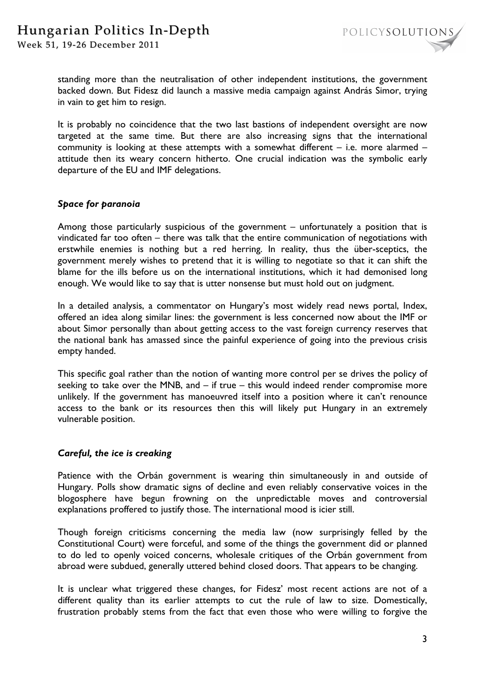Week 51, 19-26 December 2011



standing more than the neutralisation of other independent institutions, the government backed down. But Fidesz did launch a massive media campaign against András Simor, trying in vain to get him to resign.

It is probably no coincidence that the two last bastions of independent oversight are now targeted at the same time. But there are also increasing signs that the international community is looking at these attempts with a somewhat different – i.e. more alarmed – attitude then its weary concern hitherto. One crucial indication was the symbolic early departure of the EU and IMF delegations.

### *Space for paranoia*

Among those particularly suspicious of the government – unfortunately a position that is vindicated far too often – there was talk that the entire communication of negotiations with erstwhile enemies is nothing but a red herring. In reality, thus the über-sceptics, the government merely wishes to pretend that it is willing to negotiate so that it can shift the blame for the ills before us on the international institutions, which it had demonised long enough. We would like to say that is utter nonsense but must hold out on judgment.

In a detailed analysis, a commentator on Hungary's most widely read news portal, Index, offered an idea along similar lines: the government is less concerned now about the IMF or about Simor personally than about getting access to the vast foreign currency reserves that the national bank has amassed since the painful experience of going into the previous crisis empty handed.

This specific goal rather than the notion of wanting more control per se drives the policy of seeking to take over the MNB, and – if true – this would indeed render compromise more unlikely. If the government has manoeuvred itself into a position where it can't renounce access to the bank or its resources then this will likely put Hungary in an extremely vulnerable position.

#### *Careful, the ice is creaking*

Patience with the Orbán government is wearing thin simultaneously in and outside of Hungary. Polls show dramatic signs of decline and even reliably conservative voices in the blogosphere have begun frowning on the unpredictable moves and controversial explanations proffered to justify those. The international mood is icier still.

Though foreign criticisms concerning the media law (now surprisingly felled by the Constitutional Court) were forceful, and some of the things the government did or planned to do led to openly voiced concerns, wholesale critiques of the Orbán government from abroad were subdued, generally uttered behind closed doors. That appears to be changing.

It is unclear what triggered these changes, for Fidesz' most recent actions are not of a different quality than its earlier attempts to cut the rule of law to size. Domestically, frustration probably stems from the fact that even those who were willing to forgive the